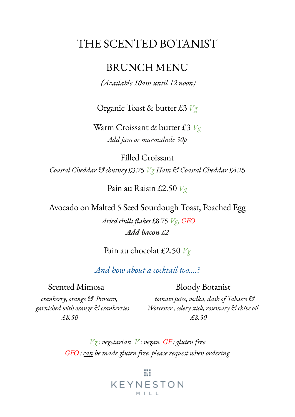# THE SCENTED BOTANIST

## BRUNCH MENU

#### *(Available 10am until 12 noon)*

Organic Toast & butter £3 *Vg*

Warm Croissant & butter £3 *Vg Add jam or marmalade 50p*

Filled Croissant *Coastal Cheddar & chutney* £3.75 *Vg Ham & Coastal Cheddar* £4.25

Pain au Raisin £2.50 *Vg*

Avocado on Malted 5 Seed Sourdough Toast, Poached Egg *dried chilli flakes* £8.75 *Vg, GFO Add bacon £2*

Pain au chocolat £2.50 *Vg*

*And how about a cocktail too….?*

#### Scented Mimosa Bloody Botanist

*£8.50 £8.50*

*cranberry, orange & Prosecco, tomato juice, vodka, dash of Tabasco & garnished with orange & cranberries Worcester , celery stick, rosemary & chive oil*

> *Vg : vegetarian V : vegan GF : gluten free GFO : can be made gluten free, please request when ordering*

### 嶽 KEYNESTON  $M \mid \mid$